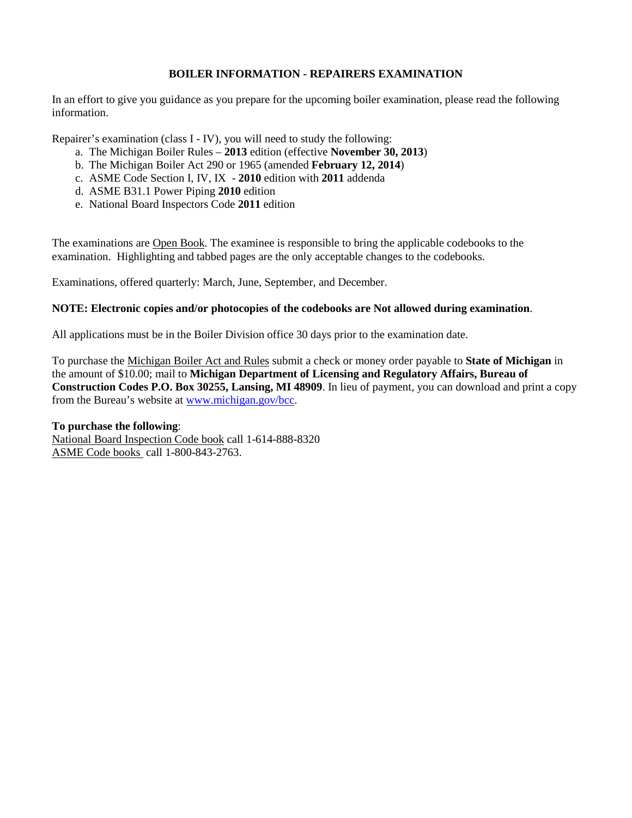# **BOILER INFORMATION - REPAIRERS EXAMINATION**

In an effort to give you guidance as you prepare for the upcoming boiler examination, please read the following information.

Repairer's examination (class I - IV), you will need to study the following:

- a. The Michigan Boiler Rules **2013** edition (effective **November 30, 2013**)
- b. The Michigan Boiler Act 290 or 1965 (amended **February 12, 2014**)
- c. ASME Code Section I, IV, IX **2010** edition with **2011** addenda
- d. ASME B31.1 Power Piping **2010** edition
- e. National Board Inspectors Code **2011** edition

The examinations are Open Book. The examinee is responsible to bring the applicable codebooks to the examination. Highlighting and tabbed pages are the only acceptable changes to the codebooks.

Examinations, offered quarterly: March, June, September, and December.

# **NOTE: Electronic copies and/or photocopies of the codebooks are Not allowed during examination**.

All applications must be in the Boiler Division office 30 days prior to the examination date.

To purchase the Michigan Boiler Act and Rules submit a check or money order payable to **State of Michigan** in the amount of \$10.00; mail to **Michigan Department of Licensing and Regulatory Affairs, Bureau of Construction Codes P.O. Box 30255, Lansing, MI 48909**. In lieu of payment, you can download and print a copy from the Bureau's website at [www.michigan.gov/bcc.](http://www.michigan.gov/bcc)

## **To purchase the following**:

National Board Inspection Code book call 1-614-888-8320 ASME Code books call 1-800-843-2763.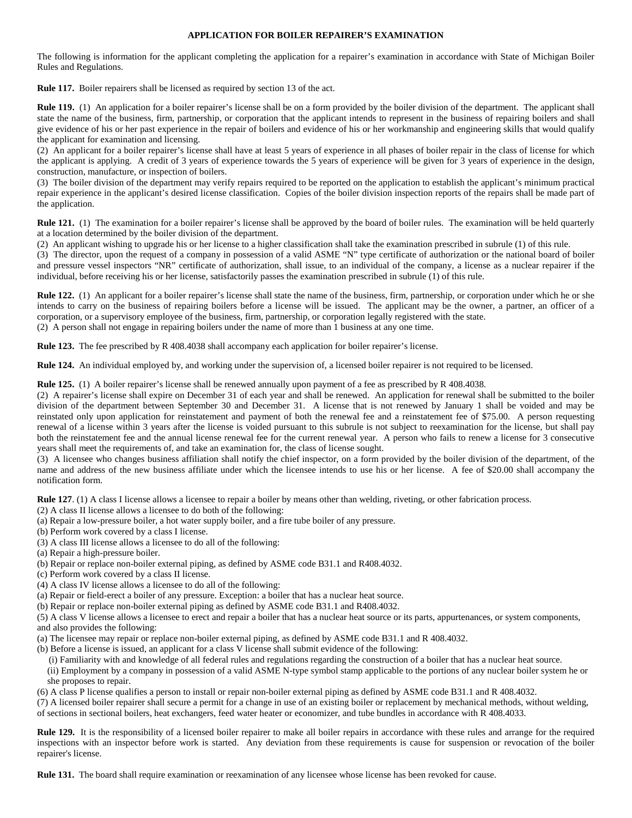#### **APPLICATION FOR BOILER REPAIRER'S EXAMINATION**

The following is information for the applicant completing the application for a repairer's examination in accordance with State of Michigan Boiler Rules and Regulations.

**Rule 117.** Boiler repairers shall be licensed as required by section 13 of the act.

**Rule 119.** (1) An application for a boiler repairer's license shall be on a form provided by the boiler division of the department. The applicant shall state the name of the business, firm, partnership, or corporation that the applicant intends to represent in the business of repairing boilers and shall give evidence of his or her past experience in the repair of boilers and evidence of his or her workmanship and engineering skills that would qualify the applicant for examination and licensing.

(2) An applicant for a boiler repairer's license shall have at least 5 years of experience in all phases of boiler repair in the class of license for which the applicant is applying. A credit of 3 years of experience towards the 5 years of experience will be given for 3 years of experience in the design, construction, manufacture, or inspection of boilers.

(3) The boiler division of the department may verify repairs required to be reported on the application to establish the applicant's minimum practical repair experience in the applicant's desired license classification. Copies of the boiler division inspection reports of the repairs shall be made part of the application.

**Rule 121.** (1) The examination for a boiler repairer's license shall be approved by the board of boiler rules. The examination will be held quarterly at a location determined by the boiler division of the department.

(2) An applicant wishing to upgrade his or her license to a higher classification shall take the examination prescribed in subrule (1) of this rule.

(3) The director, upon the request of a company in possession of a valid ASME "N" type certificate of authorization or the national board of boiler and pressure vessel inspectors "NR" certificate of authorization, shall issue, to an individual of the company, a license as a nuclear repairer if the individual, before receiving his or her license, satisfactorily passes the examination prescribed in subrule (1) of this rule.

**Rule 122.** (1) An applicant for a boiler repairer's license shall state the name of the business, firm, partnership, or corporation under which he or she intends to carry on the business of repairing boilers before a license will be issued. The applicant may be the owner, a partner, an officer of a corporation, or a supervisory employee of the business, firm, partnership, or corporation legally registered with the state. (2) A person shall not engage in repairing boilers under the name of more than 1 business at any one time.

**Rule 123.** The fee prescribed by R 408.4038 shall accompany each application for boiler repairer's license.

**Rule 124.** An individual employed by, and working under the supervision of, a licensed boiler repairer is not required to be licensed.

**Rule 125.** (1) A boiler repairer's license shall be renewed annually upon payment of a fee as prescribed by R 408.4038.

(2) A repairer's license shall expire on December 31 of each year and shall be renewed. An application for renewal shall be submitted to the boiler division of the department between September 30 and December 31. A license that is not renewed by January 1 shall be voided and may be reinstated only upon application for reinstatement and payment of both the renewal fee and a reinstatement fee of \$75.00. A person requesting renewal of a license within 3 years after the license is voided pursuant to this subrule is not subject to reexamination for the license, but shall pay both the reinstatement fee and the annual license renewal fee for the current renewal year. A person who fails to renew a license for 3 consecutive years shall meet the requirements of, and take an examination for, the class of license sought.

(3) A licensee who changes business affiliation shall notify the chief inspector, on a form provided by the boiler division of the department, of the name and address of the new business affiliate under which the licensee intends to use his or her license. A fee of \$20.00 shall accompany the notification form.

**Rule 127.** (1) A class I license allows a licensee to repair a boiler by means other than welding, riveting, or other fabrication process.

- (2) A class II license allows a licensee to do both of the following:
- (a) Repair a low-pressure boiler, a hot water supply boiler, and a fire tube boiler of any pressure.

(b) Perform work covered by a class I license.

(3) A class III license allows a licensee to do all of the following:

(a) Repair a high-pressure boiler.

- (b) Repair or replace non-boiler external piping, as defined by ASME code B31.1 and R408.4032.
- (c) Perform work covered by a class II license.
- (4) A class IV license allows a licensee to do all of the following:
- (a) Repair or field-erect a boiler of any pressure. Exception: a boiler that has a nuclear heat source.
- (b) Repair or replace non-boiler external piping as defined by ASME code B31.1 and R408.4032.

(5) A class V license allows a licensee to erect and repair a boiler that has a nuclear heat source or its parts, appurtenances, or system components, and also provides the following:

- (a) The licensee may repair or replace non-boiler external piping, as defined by ASME code B31.1 and R 408.4032.
- (b) Before a license is issued, an applicant for a class V license shall submit evidence of the following:
	- (i) Familiarity with and knowledge of all federal rules and regulations regarding the construction of a boiler that has a nuclear heat source.

(ii) Employment by a company in possession of a valid ASME N-type symbol stamp applicable to the portions of any nuclear boiler system he or she proposes to repair.

(6) A class P license qualifies a person to install or repair non-boiler external piping as defined by ASME code B31.1 and R 408.4032.

(7) A licensed boiler repairer shall secure a permit for a change in use of an existing boiler or replacement by mechanical methods, without welding, of sections in sectional boilers, heat exchangers, feed water heater or economizer, and tube bundles in accordance with R 408.4033.

**Rule 129.** It is the responsibility of a licensed boiler repairer to make all boiler repairs in accordance with these rules and arrange for the required inspections with an inspector before work is started. Any deviation from these requirements is cause for suspension or revocation of the boiler repairer's license.

**Rule 131.** The board shall require examination or reexamination of any licensee whose license has been revoked for cause.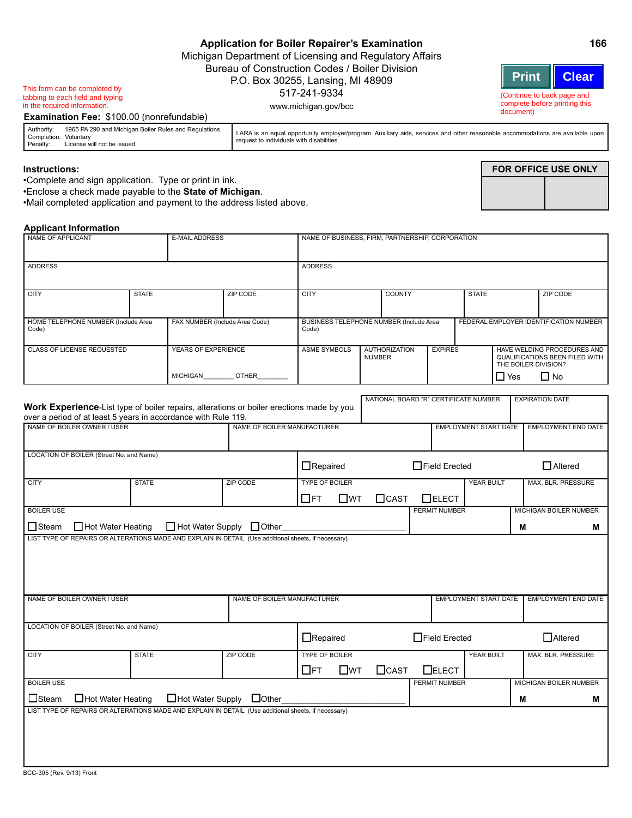| Application for Boiler Repairer's Examination           |                            | 166 |  |
|---------------------------------------------------------|----------------------------|-----|--|
| Michigan Department of Licensing and Regulatory Affairs |                            |     |  |
| Bureau of Construction Codes / Boiler Division          |                            |     |  |
| P.O. Box 30255, Lansing, MI 48909                       | Print   Clear              |     |  |
| 517-241-9334                                            | (Continue to back page and |     |  |

www.michigan.gov/bcc

This form can be completed by tabbing to each field and typing in the required information.

**Examination Fee:** \$100.00 (nonrefundable)

| Authority:<br>Completion: Voluntary<br>Penalty: | 1965 PA 290 and Michigan Boiler Rules and Regulations<br>License will not be issued | LARA is an equal opportunity employer/program. Auxiliary aids, services and other reasonable accommodations are available upon<br>request to individuals with disabilities. |
|-------------------------------------------------|-------------------------------------------------------------------------------------|-----------------------------------------------------------------------------------------------------------------------------------------------------------------------------|

#### **Instructions:**

•Complete and sign application. Type or print in ink.

•Enclose a check made payable to the **State of Michigan**.

•Mail completed application and payment to the address listed above.

### **Applicant Information**

| NAME OF APPLICANT                                                                                                                                                 |              | <b>E-MAIL ADDRESS</b>                                  |                             | NAME OF BUSINESS, FIRM, PARTNERSHIP, CORPORATION   |                                       |             |                                       |                               |            |                                        |                                                                                               |  |
|-------------------------------------------------------------------------------------------------------------------------------------------------------------------|--------------|--------------------------------------------------------|-----------------------------|----------------------------------------------------|---------------------------------------|-------------|---------------------------------------|-------------------------------|------------|----------------------------------------|-----------------------------------------------------------------------------------------------|--|
| <b>ADDRESS</b>                                                                                                                                                    |              |                                                        |                             | <b>ADDRESS</b>                                     |                                       |             |                                       |                               |            |                                        |                                                                                               |  |
| <b>CITY</b>                                                                                                                                                       | <b>STATE</b> |                                                        | <b>ZIP CODE</b>             | <b>CITY</b>                                        |                                       | COUNTY      |                                       | <b>STATE</b>                  |            | <b>ZIP CODE</b>                        |                                                                                               |  |
| HOME TELEPHONE NUMBER (Include Area<br>FAX NUMBER (Include Area Code)<br>Code)                                                                                    |              |                                                        |                             | BUSINESS TELEPHONE NUMBER (Include Area<br>Code)   |                                       |             |                                       |                               |            | FEDERAL EMPLOYER IDENTIFICATION NUMBER |                                                                                               |  |
| <b>CLASS OF LICENSE REQUESTED</b>                                                                                                                                 |              | YEARS OF EXPERIENCE<br><b>OTHER</b><br><b>MICHIGAN</b> |                             | <b>ASME SYMBOLS</b>                                | <b>AUTHORIZATION</b><br><b>NUMBER</b> |             | <b>EXPIRES</b>                        |                               | $\Box$ Yes |                                        | HAVE WELDING PROCEDURES AND<br>QUALIFICATIONS BEEN FILED WITH<br>THE BOILER DIVISION?<br>∐ No |  |
|                                                                                                                                                                   |              |                                                        |                             |                                                    |                                       |             |                                       |                               |            |                                        |                                                                                               |  |
| <b>Work Experience-List type of boiler repairs, alterations or boiler erections made by you</b><br>over a period of at least 5 years in accordance with Rule 119. |              |                                                        |                             |                                                    |                                       |             | NATIONAL BOARD "R" CERTIFICATE NUMBER |                               |            | <b>EXPIRATION DATE</b>                 |                                                                                               |  |
| NAME OF BOILER OWNER / USER                                                                                                                                       |              |                                                        | NAME OF BOILER MANUFACTURER |                                                    |                                       |             |                                       | <b>EMPLOYMENT START DATE</b>  |            | <b>EMPLOYMENT END DATE</b>             |                                                                                               |  |
| LOCATION OF BOILER (Street No. and Name)                                                                                                                          |              |                                                        |                             | $\Box$ Repaired                                    |                                       |             | $\Box$ Field Erected                  |                               |            | $\Box$ Altered                         |                                                                                               |  |
| <b>CITY</b>                                                                                                                                                       | <b>STATE</b> |                                                        | <b>ZIP CODE</b>             | <b>TYPE OF BOILER</b><br>$\Box$ ft<br>$\Box$ WT    |                                       | $\Box$ CAST | $\Box$ ELECT                          | <b>YEAR BUILT</b>             |            | MAX. BLR. PRESSURE                     |                                                                                               |  |
| <b>BOILER USE</b>                                                                                                                                                 |              |                                                        |                             | PERMIT NUMBER                                      |                                       |             |                                       | <b>MICHIGAN BOILER NUMBER</b> |            |                                        |                                                                                               |  |
| $\Box$ Hot Water Heating<br><b>□</b> Steam                                                                                                                        |              |                                                        | □ Hot Water Supply □ Other  |                                                    |                                       |             |                                       |                               | M          |                                        | м                                                                                             |  |
| LIST TYPE OF REPAIRS OR ALTERATIONS MADE AND EXPLAIN IN DETAIL (Use additional sheets, if necessary)                                                              |              |                                                        |                             |                                                    |                                       |             |                                       |                               |            |                                        |                                                                                               |  |
| NAME OF BOILER OWNER / USER                                                                                                                                       |              |                                                        | NAME OF BOILER MANUFACTURER |                                                    |                                       |             |                                       | <b>EMPLOYMENT START DATE</b>  |            | <b>EMPLOYMENT END DATE</b>             |                                                                                               |  |
| LOCATION OF BOILER (Street No. and Name)                                                                                                                          |              |                                                        |                             | $\Box$ Repaired                                    |                                       |             | $\Box$ Field Erected                  |                               |            | $\Box$ Altered                         |                                                                                               |  |
| <b>CITY</b>                                                                                                                                                       | <b>STATE</b> |                                                        | <b>ZIP CODE</b>             | <b>TYPE OF BOILER</b><br>$\Box$ ft<br>$\square$ WT |                                       | $\Box$ CAST | $\Box$ ELECT                          | <b>YEAR BUILT</b>             |            | <b>MAX. BLR. PRESSURE</b>              |                                                                                               |  |
| <b>BOILER USE</b>                                                                                                                                                 |              |                                                        |                             |                                                    |                                       |             | <b>PERMIT NUMBER</b>                  |                               |            | <b>MICHIGAN BOILER NUMBER</b>          |                                                                                               |  |
| □Hot Water Heating<br>$\Box$ Steam                                                                                                                                |              |                                                        | □Hot Water Supply □Other    |                                                    |                                       |             |                                       |                               | M          |                                        | м                                                                                             |  |
| LIST TYPE OF REPAIRS OR ALTERATIONS MADE AND EXPLAIN IN DETAIL (Use additional sheets, if necessary)<br>$\theta$                                                  |              |                                                        |                             |                                                    |                                       |             |                                       |                               |            |                                        |                                                                                               |  |

# **FOR OFFICE USE ONLY**